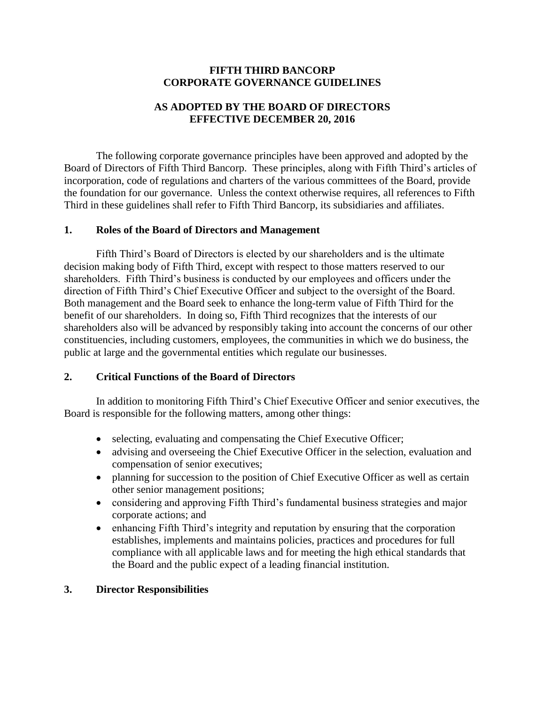# **FIFTH THIRD BANCORP CORPORATE GOVERNANCE GUIDELINES**

# **AS ADOPTED BY THE BOARD OF DIRECTORS EFFECTIVE DECEMBER 20, 2016**

The following corporate governance principles have been approved and adopted by the Board of Directors of Fifth Third Bancorp. These principles, along with Fifth Third's articles of incorporation, code of regulations and charters of the various committees of the Board, provide the foundation for our governance. Unless the context otherwise requires, all references to Fifth Third in these guidelines shall refer to Fifth Third Bancorp, its subsidiaries and affiliates.

# **1. Roles of the Board of Directors and Management**

Fifth Third's Board of Directors is elected by our shareholders and is the ultimate decision making body of Fifth Third, except with respect to those matters reserved to our shareholders. Fifth Third's business is conducted by our employees and officers under the direction of Fifth Third's Chief Executive Officer and subject to the oversight of the Board. Both management and the Board seek to enhance the long-term value of Fifth Third for the benefit of our shareholders. In doing so, Fifth Third recognizes that the interests of our shareholders also will be advanced by responsibly taking into account the concerns of our other constituencies, including customers, employees, the communities in which we do business, the public at large and the governmental entities which regulate our businesses.

# **2. Critical Functions of the Board of Directors**

In addition to monitoring Fifth Third's Chief Executive Officer and senior executives, the Board is responsible for the following matters, among other things:

- selecting, evaluating and compensating the Chief Executive Officer;
- advising and overseeing the Chief Executive Officer in the selection, evaluation and compensation of senior executives;
- planning for succession to the position of Chief Executive Officer as well as certain other senior management positions;
- considering and approving Fifth Third's fundamental business strategies and major corporate actions; and
- enhancing Fifth Third's integrity and reputation by ensuring that the corporation establishes, implements and maintains policies, practices and procedures for full compliance with all applicable laws and for meeting the high ethical standards that the Board and the public expect of a leading financial institution.

## **3. Director Responsibilities**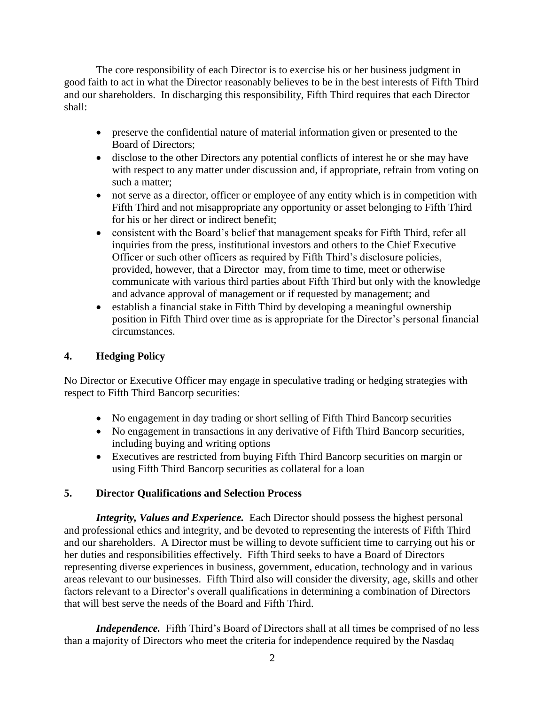The core responsibility of each Director is to exercise his or her business judgment in good faith to act in what the Director reasonably believes to be in the best interests of Fifth Third and our shareholders. In discharging this responsibility, Fifth Third requires that each Director shall:

- preserve the confidential nature of material information given or presented to the Board of Directors;
- disclose to the other Directors any potential conflicts of interest he or she may have with respect to any matter under discussion and, if appropriate, refrain from voting on such a matter;
- not serve as a director, officer or employee of any entity which is in competition with Fifth Third and not misappropriate any opportunity or asset belonging to Fifth Third for his or her direct or indirect benefit;
- consistent with the Board's belief that management speaks for Fifth Third, refer all inquiries from the press, institutional investors and others to the Chief Executive Officer or such other officers as required by Fifth Third's disclosure policies, provided, however, that a Director may, from time to time, meet or otherwise communicate with various third parties about Fifth Third but only with the knowledge and advance approval of management or if requested by management; and
- $\bullet$  establish a financial stake in Fifth Third by developing a meaningful ownership position in Fifth Third over time as is appropriate for the Director's personal financial circumstances.

# **4. Hedging Policy**

No Director or Executive Officer may engage in speculative trading or hedging strategies with respect to Fifth Third Bancorp securities:

- No engagement in day trading or short selling of Fifth Third Bancorp securities
- No engagement in transactions in any derivative of Fifth Third Bancorp securities, including buying and writing options
- Executives are restricted from buying Fifth Third Bancorp securities on margin or using Fifth Third Bancorp securities as collateral for a loan

# **5. Director Qualifications and Selection Process**

*Integrity, Values and Experience.* Each Director should possess the highest personal and professional ethics and integrity, and be devoted to representing the interests of Fifth Third and our shareholders. A Director must be willing to devote sufficient time to carrying out his or her duties and responsibilities effectively. Fifth Third seeks to have a Board of Directors representing diverse experiences in business, government, education, technology and in various areas relevant to our businesses. Fifth Third also will consider the diversity, age, skills and other factors relevant to a Director's overall qualifications in determining a combination of Directors that will best serve the needs of the Board and Fifth Third.

*Independence.* Fifth Third's Board of Directors shall at all times be comprised of no less than a majority of Directors who meet the criteria for independence required by the Nasdaq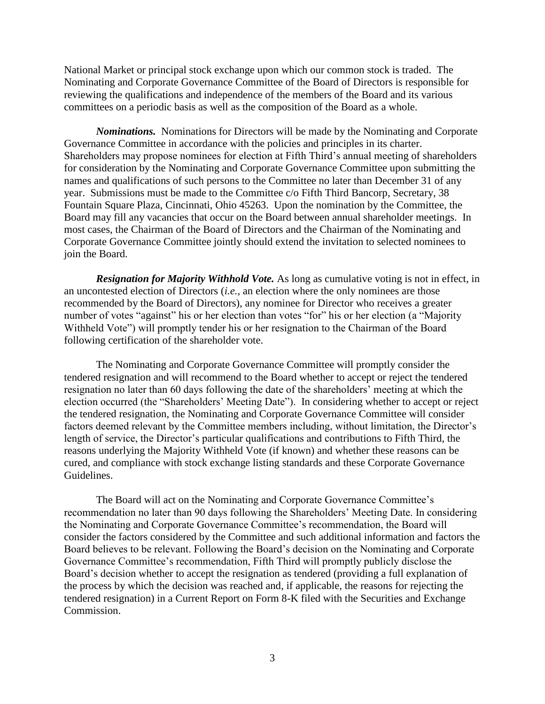National Market or principal stock exchange upon which our common stock is traded. The Nominating and Corporate Governance Committee of the Board of Directors is responsible for reviewing the qualifications and independence of the members of the Board and its various committees on a periodic basis as well as the composition of the Board as a whole.

*Nominations.* Nominations for Directors will be made by the Nominating and Corporate Governance Committee in accordance with the policies and principles in its charter. Shareholders may propose nominees for election at Fifth Third's annual meeting of shareholders for consideration by the Nominating and Corporate Governance Committee upon submitting the names and qualifications of such persons to the Committee no later than December 31 of any year. Submissions must be made to the Committee c/o Fifth Third Bancorp, Secretary, 38 Fountain Square Plaza, Cincinnati, Ohio 45263. Upon the nomination by the Committee, the Board may fill any vacancies that occur on the Board between annual shareholder meetings. In most cases, the Chairman of the Board of Directors and the Chairman of the Nominating and Corporate Governance Committee jointly should extend the invitation to selected nominees to join the Board.

*Resignation for Majority Withhold Vote.* As long as cumulative voting is not in effect, in an uncontested election of Directors (*i.e.*, an election where the only nominees are those recommended by the Board of Directors), any nominee for Director who receives a greater number of votes "against" his or her election than votes "for" his or her election (a "Majority Withheld Vote") will promptly tender his or her resignation to the Chairman of the Board following certification of the shareholder vote.

The Nominating and Corporate Governance Committee will promptly consider the tendered resignation and will recommend to the Board whether to accept or reject the tendered resignation no later than 60 days following the date of the shareholders' meeting at which the election occurred (the "Shareholders' Meeting Date"). In considering whether to accept or reject the tendered resignation, the Nominating and Corporate Governance Committee will consider factors deemed relevant by the Committee members including, without limitation, the Director's length of service, the Director's particular qualifications and contributions to Fifth Third, the reasons underlying the Majority Withheld Vote (if known) and whether these reasons can be cured, and compliance with stock exchange listing standards and these Corporate Governance Guidelines.

The Board will act on the Nominating and Corporate Governance Committee's recommendation no later than 90 days following the Shareholders' Meeting Date. In considering the Nominating and Corporate Governance Committee's recommendation, the Board will consider the factors considered by the Committee and such additional information and factors the Board believes to be relevant. Following the Board's decision on the Nominating and Corporate Governance Committee's recommendation, Fifth Third will promptly publicly disclose the Board's decision whether to accept the resignation as tendered (providing a full explanation of the process by which the decision was reached and, if applicable, the reasons for rejecting the tendered resignation) in a Current Report on Form 8-K filed with the Securities and Exchange Commission.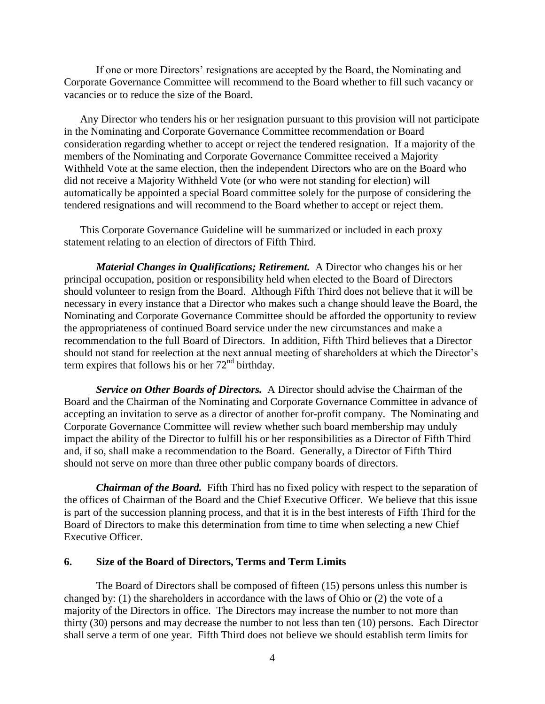If one or more Directors' resignations are accepted by the Board, the Nominating and Corporate Governance Committee will recommend to the Board whether to fill such vacancy or vacancies or to reduce the size of the Board.

Any Director who tenders his or her resignation pursuant to this provision will not participate in the Nominating and Corporate Governance Committee recommendation or Board consideration regarding whether to accept or reject the tendered resignation. If a majority of the members of the Nominating and Corporate Governance Committee received a Majority Withheld Vote at the same election, then the independent Directors who are on the Board who did not receive a Majority Withheld Vote (or who were not standing for election) will automatically be appointed a special Board committee solely for the purpose of considering the tendered resignations and will recommend to the Board whether to accept or reject them.

This Corporate Governance Guideline will be summarized or included in each proxy statement relating to an election of directors of Fifth Third.

*Material Changes in Qualifications; Retirement.* A Director who changes his or her principal occupation, position or responsibility held when elected to the Board of Directors should volunteer to resign from the Board. Although Fifth Third does not believe that it will be necessary in every instance that a Director who makes such a change should leave the Board, the Nominating and Corporate Governance Committee should be afforded the opportunity to review the appropriateness of continued Board service under the new circumstances and make a recommendation to the full Board of Directors. In addition, Fifth Third believes that a Director should not stand for reelection at the next annual meeting of shareholders at which the Director's term expires that follows his or her  $72<sup>nd</sup>$  birthday.

*Service on Other Boards of Directors.* A Director should advise the Chairman of the Board and the Chairman of the Nominating and Corporate Governance Committee in advance of accepting an invitation to serve as a director of another for-profit company. The Nominating and Corporate Governance Committee will review whether such board membership may unduly impact the ability of the Director to fulfill his or her responsibilities as a Director of Fifth Third and, if so, shall make a recommendation to the Board. Generally, a Director of Fifth Third should not serve on more than three other public company boards of directors.

*Chairman of the Board.* Fifth Third has no fixed policy with respect to the separation of the offices of Chairman of the Board and the Chief Executive Officer. We believe that this issue is part of the succession planning process, and that it is in the best interests of Fifth Third for the Board of Directors to make this determination from time to time when selecting a new Chief Executive Officer.

#### **6. Size of the Board of Directors, Terms and Term Limits**

The Board of Directors shall be composed of fifteen (15) persons unless this number is changed by: (1) the shareholders in accordance with the laws of Ohio or (2) the vote of a majority of the Directors in office. The Directors may increase the number to not more than thirty (30) persons and may decrease the number to not less than ten (10) persons. Each Director shall serve a term of one year. Fifth Third does not believe we should establish term limits for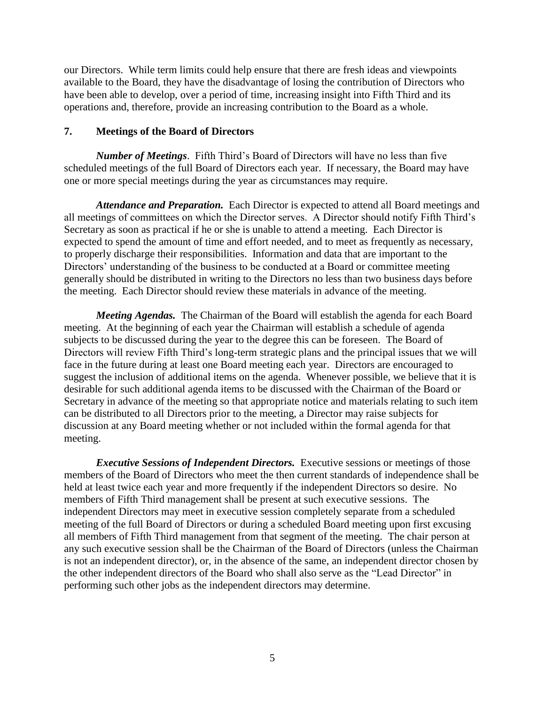our Directors. While term limits could help ensure that there are fresh ideas and viewpoints available to the Board, they have the disadvantage of losing the contribution of Directors who have been able to develop, over a period of time, increasing insight into Fifth Third and its operations and, therefore, provide an increasing contribution to the Board as a whole.

# **7. Meetings of the Board of Directors**

*Number of Meetings*. Fifth Third's Board of Directors will have no less than five scheduled meetings of the full Board of Directors each year. If necessary, the Board may have one or more special meetings during the year as circumstances may require.

*Attendance and Preparation.* Each Director is expected to attend all Board meetings and all meetings of committees on which the Director serves. A Director should notify Fifth Third's Secretary as soon as practical if he or she is unable to attend a meeting. Each Director is expected to spend the amount of time and effort needed, and to meet as frequently as necessary, to properly discharge their responsibilities. Information and data that are important to the Directors' understanding of the business to be conducted at a Board or committee meeting generally should be distributed in writing to the Directors no less than two business days before the meeting. Each Director should review these materials in advance of the meeting.

*Meeting Agendas.* The Chairman of the Board will establish the agenda for each Board meeting. At the beginning of each year the Chairman will establish a schedule of agenda subjects to be discussed during the year to the degree this can be foreseen. The Board of Directors will review Fifth Third's long-term strategic plans and the principal issues that we will face in the future during at least one Board meeting each year.Directors are encouraged to suggest the inclusion of additional items on the agenda. Whenever possible, we believe that it is desirable for such additional agenda items to be discussed with the Chairman of the Board or Secretary in advance of the meeting so that appropriate notice and materials relating to such item can be distributed to all Directors prior to the meeting, a Director may raise subjects for discussion at any Board meeting whether or not included within the formal agenda for that meeting.

*Executive Sessions of Independent Directors.* Executive sessions or meetings of those members of the Board of Directors who meet the then current standards of independence shall be held at least twice each year and more frequently if the independent Directors so desire. No members of Fifth Third management shall be present at such executive sessions. The independent Directors may meet in executive session completely separate from a scheduled meeting of the full Board of Directors or during a scheduled Board meeting upon first excusing all members of Fifth Third management from that segment of the meeting. The chair person at any such executive session shall be the Chairman of the Board of Directors (unless the Chairman is not an independent director), or, in the absence of the same, an independent director chosen by the other independent directors of the Board who shall also serve as the "Lead Director" in performing such other jobs as the independent directors may determine.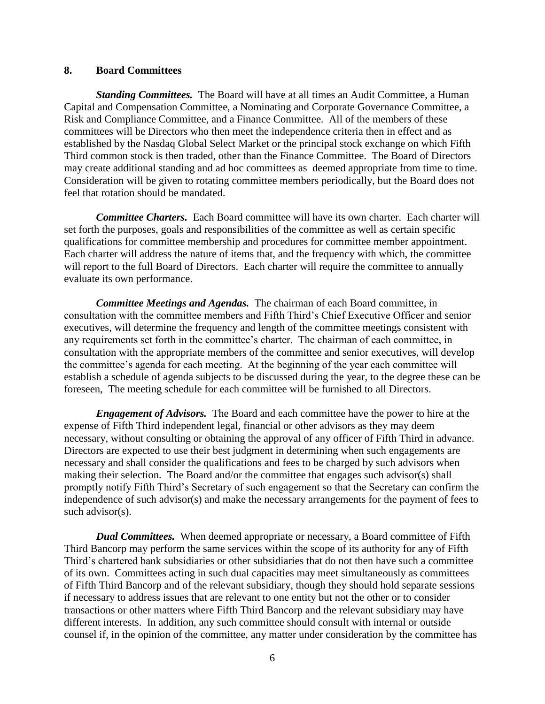#### **8. Board Committees**

*Standing Committees.* The Board will have at all times an Audit Committee, a Human Capital and Compensation Committee, a Nominating and Corporate Governance Committee, a Risk and Compliance Committee, and a Finance Committee. All of the members of these committees will be Directors who then meet the independence criteria then in effect and as established by the Nasdaq Global Select Market or the principal stock exchange on which Fifth Third common stock is then traded, other than the Finance Committee. The Board of Directors may create additional standing and ad hoc committees as deemed appropriate from time to time. Consideration will be given to rotating committee members periodically, but the Board does not feel that rotation should be mandated.

*Committee Charters.* Each Board committee will have its own charter. Each charter will set forth the purposes, goals and responsibilities of the committee as well as certain specific qualifications for committee membership and procedures for committee member appointment. Each charter will address the nature of items that, and the frequency with which, the committee will report to the full Board of Directors. Each charter will require the committee to annually evaluate its own performance.

*Committee Meetings and Agendas.* The chairman of each Board committee, in consultation with the committee members and Fifth Third's Chief Executive Officer and senior executives, will determine the frequency and length of the committee meetings consistent with any requirements set forth in the committee's charter. The chairman of each committee, in consultation with the appropriate members of the committee and senior executives, will develop the committee's agenda for each meeting. At the beginning of the year each committee will establish a schedule of agenda subjects to be discussed during the year, to the degree these can be foreseen, The meeting schedule for each committee will be furnished to all Directors.

*Engagement of Advisors.* The Board and each committee have the power to hire at the expense of Fifth Third independent legal, financial or other advisors as they may deem necessary, without consulting or obtaining the approval of any officer of Fifth Third in advance. Directors are expected to use their best judgment in determining when such engagements are necessary and shall consider the qualifications and fees to be charged by such advisors when making their selection. The Board and/or the committee that engages such advisor(s) shall promptly notify Fifth Third's Secretary of such engagement so that the Secretary can confirm the independence of such advisor(s) and make the necessary arrangements for the payment of fees to such advisor(s).

*Dual Committees.* When deemed appropriate or necessary, a Board committee of Fifth Third Bancorp may perform the same services within the scope of its authority for any of Fifth Third's chartered bank subsidiaries or other subsidiaries that do not then have such a committee of its own. Committees acting in such dual capacities may meet simultaneously as committees of Fifth Third Bancorp and of the relevant subsidiary, though they should hold separate sessions if necessary to address issues that are relevant to one entity but not the other or to consider transactions or other matters where Fifth Third Bancorp and the relevant subsidiary may have different interests. In addition, any such committee should consult with internal or outside counsel if, in the opinion of the committee, any matter under consideration by the committee has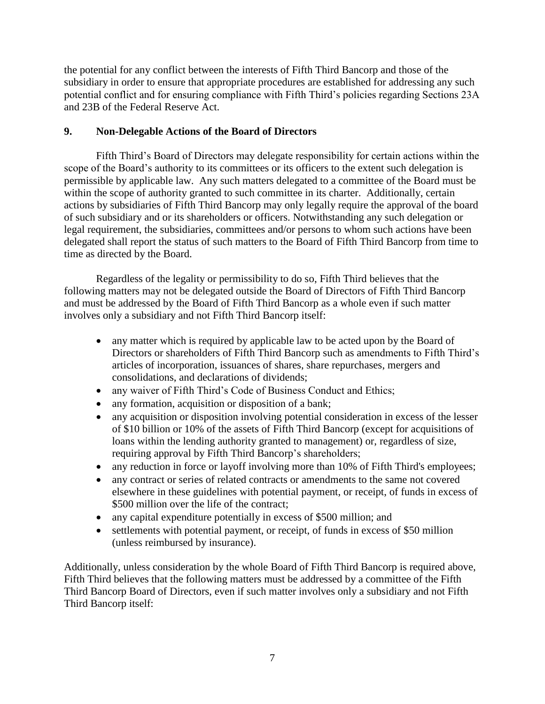the potential for any conflict between the interests of Fifth Third Bancorp and those of the subsidiary in order to ensure that appropriate procedures are established for addressing any such potential conflict and for ensuring compliance with Fifth Third's policies regarding Sections 23A and 23B of the Federal Reserve Act.

# **9. Non-Delegable Actions of the Board of Directors**

Fifth Third's Board of Directors may delegate responsibility for certain actions within the scope of the Board's authority to its committees or its officers to the extent such delegation is permissible by applicable law. Any such matters delegated to a committee of the Board must be within the scope of authority granted to such committee in its charter. Additionally, certain actions by subsidiaries of Fifth Third Bancorp may only legally require the approval of the board of such subsidiary and or its shareholders or officers. Notwithstanding any such delegation or legal requirement, the subsidiaries, committees and/or persons to whom such actions have been delegated shall report the status of such matters to the Board of Fifth Third Bancorp from time to time as directed by the Board.

Regardless of the legality or permissibility to do so, Fifth Third believes that the following matters may not be delegated outside the Board of Directors of Fifth Third Bancorp and must be addressed by the Board of Fifth Third Bancorp as a whole even if such matter involves only a subsidiary and not Fifth Third Bancorp itself:

- any matter which is required by applicable law to be acted upon by the Board of Directors or shareholders of Fifth Third Bancorp such as amendments to Fifth Third's articles of incorporation, issuances of shares, share repurchases, mergers and consolidations, and declarations of dividends;
- any waiver of Fifth Third's Code of Business Conduct and Ethics;
- any formation, acquisition or disposition of a bank;
- any acquisition or disposition involving potential consideration in excess of the lesser of \$10 billion or 10% of the assets of Fifth Third Bancorp (except for acquisitions of loans within the lending authority granted to management) or, regardless of size, requiring approval by Fifth Third Bancorp's shareholders;
- any reduction in force or layoff involving more than 10% of Fifth Third's employees;
- any contract or series of related contracts or amendments to the same not covered elsewhere in these guidelines with potential payment, or receipt, of funds in excess of \$500 million over the life of the contract;
- any capital expenditure potentially in excess of \$500 million; and
- settlements with potential payment, or receipt, of funds in excess of \$50 million (unless reimbursed by insurance).

Additionally, unless consideration by the whole Board of Fifth Third Bancorp is required above, Fifth Third believes that the following matters must be addressed by a committee of the Fifth Third Bancorp Board of Directors, even if such matter involves only a subsidiary and not Fifth Third Bancorp itself: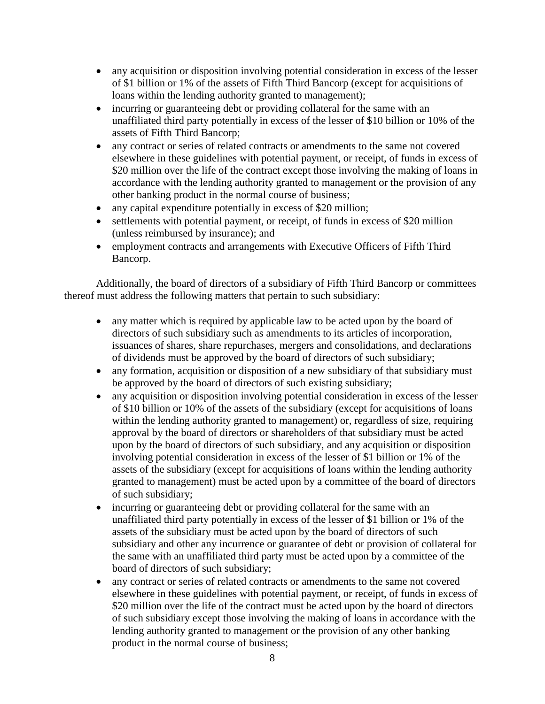- any acquisition or disposition involving potential consideration in excess of the lesser of \$1 billion or 1% of the assets of Fifth Third Bancorp (except for acquisitions of loans within the lending authority granted to management);
- incurring or guaranteeing debt or providing collateral for the same with an unaffiliated third party potentially in excess of the lesser of \$10 billion or 10% of the assets of Fifth Third Bancorp;
- any contract or series of related contracts or amendments to the same not covered elsewhere in these guidelines with potential payment, or receipt, of funds in excess of \$20 million over the life of the contract except those involving the making of loans in accordance with the lending authority granted to management or the provision of any other banking product in the normal course of business;
- any capital expenditure potentially in excess of \$20 million;
- settlements with potential payment, or receipt, of funds in excess of \$20 million (unless reimbursed by insurance); and
- employment contracts and arrangements with Executive Officers of Fifth Third Bancorp.

Additionally, the board of directors of a subsidiary of Fifth Third Bancorp or committees thereof must address the following matters that pertain to such subsidiary:

- any matter which is required by applicable law to be acted upon by the board of directors of such subsidiary such as amendments to its articles of incorporation, issuances of shares, share repurchases, mergers and consolidations, and declarations of dividends must be approved by the board of directors of such subsidiary;
- any formation, acquisition or disposition of a new subsidiary of that subsidiary must be approved by the board of directors of such existing subsidiary;
- any acquisition or disposition involving potential consideration in excess of the lesser of \$10 billion or 10% of the assets of the subsidiary (except for acquisitions of loans within the lending authority granted to management) or, regardless of size, requiring approval by the board of directors or shareholders of that subsidiary must be acted upon by the board of directors of such subsidiary, and any acquisition or disposition involving potential consideration in excess of the lesser of \$1 billion or 1% of the assets of the subsidiary (except for acquisitions of loans within the lending authority granted to management) must be acted upon by a committee of the board of directors of such subsidiary;
- incurring or guaranteeing debt or providing collateral for the same with an unaffiliated third party potentially in excess of the lesser of \$1 billion or 1% of the assets of the subsidiary must be acted upon by the board of directors of such subsidiary and other any incurrence or guarantee of debt or provision of collateral for the same with an unaffiliated third party must be acted upon by a committee of the board of directors of such subsidiary;
- any contract or series of related contracts or amendments to the same not covered elsewhere in these guidelines with potential payment, or receipt, of funds in excess of \$20 million over the life of the contract must be acted upon by the board of directors of such subsidiary except those involving the making of loans in accordance with the lending authority granted to management or the provision of any other banking product in the normal course of business;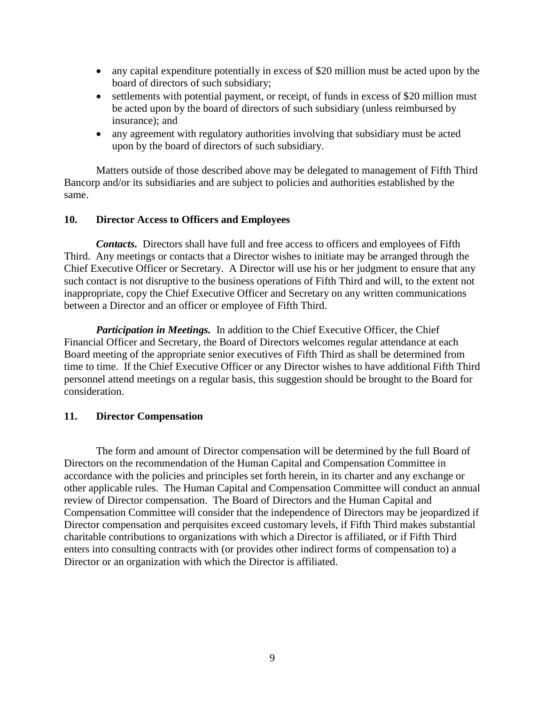- any capital expenditure potentially in excess of \$20 million must be acted upon by the board of directors of such subsidiary;
- settlements with potential payment, or receipt, of funds in excess of \$20 million must be acted upon by the board of directors of such subsidiary (unless reimbursed by insurance); and
- any agreement with regulatory authorities involving that subsidiary must be acted upon by the board of directors of such subsidiary.

Matters outside of those described above may be delegated to management of Fifth Third Bancorp and/or its subsidiaries and are subject to policies and authorities established by the same.

#### **10. Director Access to Officers and Employees**

*Contacts.* Directors shall have full and free access to officers and employees of Fifth Third. Any meetings or contacts that a Director wishes to initiate may be arranged through the Chief Executive Officer or Secretary. A Director will use his or her judgment to ensure that any such contact is not disruptive to the business operations of Fifth Third and will, to the extent not inappropriate, copy the Chief Executive Officer and Secretary on any written communications between a Director and an officer or employee of Fifth Third.

*Participation in Meetings.* In addition to the Chief Executive Officer, the Chief Financial Officer and Secretary, the Board of Directors welcomes regular attendance at each Board meeting of the appropriate senior executives of Fifth Third as shall be determined from time to time. If the Chief Executive Officer or any Director wishes to have additional Fifth Third personnel attend meetings on a regular basis, this suggestion should be brought to the Board for consideration.

## **11. Director Compensation**

The form and amount of Director compensation will be determined by the full Board of Directors on the recommendation of the Human Capital and Compensation Committee in accordance with the policies and principles set forth herein, in its charter and any exchange or other applicable rules. The Human Capital and Compensation Committee will conduct an annual review of Director compensation. The Board of Directors and the Human Capital and Compensation Committee will consider that the independence of Directors may be jeopardized if Director compensation and perquisites exceed customary levels, if Fifth Third makes substantial charitable contributions to organizations with which a Director is affiliated, or if Fifth Third enters into consulting contracts with (or provides other indirect forms of compensation to) a Director or an organization with which the Director is affiliated.